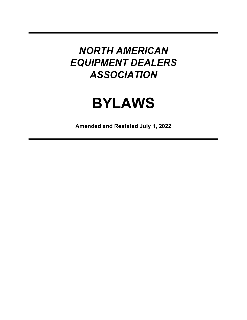# **BYLAWS**

**Amended and Restated July 1, 2022**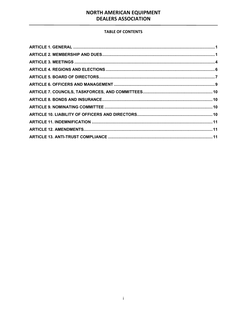#### **TABLE OF CONTENTS**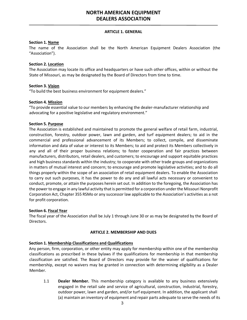#### **ARTICLE 1. GENERAL**

#### <span id="page-2-0"></span>**Section 1. Name**

The name of the Association shall be the North American Equipment Dealers Association (the "Association").

#### **Section 2. Location**

The Association may locate its office and headquarters or have such other offices, within or without the State of Missouri, as may be designated by the Board of Directors from time to time.

#### **Section 3. Vision**

"To build the best business environment for equipment dealers."

#### **Section 4. Mission**

"To provide essential value to our members by enhancing the dealer-manufacturer relationship and advocating for a positive legislative and regulatory environment."

#### **Section 5. Purpose**

The Association is established and maintained to promote the general welfare of retail farm, industrial, construction, forestry, outdoor power, lawn and garden, and turf equipment dealers; to aid in the commercial and professional advancement of its Members; to collect, compile, and disseminate information and data of value or interest to its Members; to aid and protect its Members collectively in any and all of their proper business relations; to foster cooperation and fair practices between manufacturers, distributors, retail dealers, and customers; to encourage and support equitable practices and high business standards within the industry; to cooperate with other trade groups and organizations in matters of mutual interest and concern; to encourage and promote legislative activities; and to do all things properly within the scope of an association of retail equipment dealers. To enable the Association to carry out such purposes, it has the power to do any and all lawful acts necessary or convenient to conduct, promote, or attain the purposes herein set out. In addition to the foregoing, the Association has the power to engage in any lawful activity that is permitted for a corporation under the Missouri Nonprofit Corporation Act, Chapter 355 RSMo or any successor law applicable to the Association's activities as a not for profit corporation.

#### **Section 6. Fiscal Year**

The fiscal year of the Association shall be July 1 through June 30 or as may be designated by the Board of Directors.

#### **ARTICLE 2. MEMBERSHIP AND DUES**

#### <span id="page-2-1"></span>**Section 1. Membership Classifications and Qualifications**

Any person, firm, corporation, or other entity may apply for membership within one of the membership classifications as prescribed in these bylaws if the qualifications for membership in that membership classification are satisfied. The Board of Directors may provide for the waiver of qualifications for membership, except no waivers may be granted in connection with determining eligibility as a Dealer Member.

1.1 **Dealer Member.** This membership category is available to any business extensively engaged in the retail sale and service of agricultural, construction, industrial, forestry, outdoor power, lawn and garden, and/or turf equipment. In addition, the applicant shall (a) maintain an inventory of equipment and repair parts adequate to serve the needs of its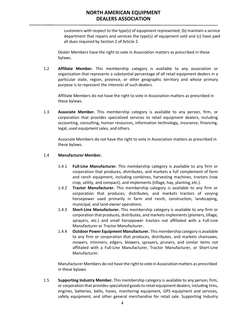customers with respect to the type(s) of equipment represented; (b) maintain a service department that repairs and services the type(s) of equipment sold and (c) have paid all dues required by Section 2 of Article 2.

Dealer Members have the right to vote in Association matters as prescribed in these bylaws.

1.2 **Affiliate Member.** This membership category is available to any association or organization that represents a substantial percentage of all retail equipment dealers in a particular state, region, province, or other geographic territory and whose primary purpose is to represent the interests of such dealers.

Affiliate Members do not have the right to vote in Association matters as prescribed in these bylaws.

1.3 **Associate Member.** This membership category is available to any person, firm, or corporation that provides specialized services to retail equipment dealers, including accounting, consulting, human resources, information technology, insurance, financing, legal, used equipment sales, and others.

Associate Members do not have the right to vote in Association matters as prescribed in these bylaws.

#### 1.4 **Manufacturer Member.**

- 1.4.1 **Full-Line Manufacturer.** This membership category is available to any firm or corporation that produces, distributes, and markets a full complement of farm and ranch equipment, including combines, harvesting machines, tractors (row crop, utility, and compact), and implements (tillage, hay, planting, etc.).
- 1.4.2 **Tractor Manufacturer.** This membership category is available to any firm or corporation that produces, distributes, and markets tractors of varying horsepower used primarily in farm and ranch, construction, landscaping, municipal, and land-owner operations.
- 1.4.3 **Short-Line Manufacturer.** This membership category is available to any firm or corporation that produces, distributes, and marketsimplements(planters, tillage, sprayers, etc.) and small horsepower tractors not affiliated with a Full-Line Manufacturer or Tractor Manufacturer.
- 1.4.4 **Outdoor Power Equipment Manufacturer.** This membership category is available to any firm or corporation that produces, distributes, and markets chainsaws, mowers, trimmers, edgers, blowers, sprayers, pruners, and similar items not affiliated with a Full-Line Manufacturer, Tractor Manufacturer, or Short-Line Manufacturer.

Manufacturer Members do not have the right to vote in Association matters as prescribed in these bylaws.

1.5 **Supporting Industry Member.** This membership category is available to any person, firm, or corporation that provides specialized goods to retail equipment dealers, including tires, engines, batteries, belts, hoses, monitoring equipment, GPS equipment and services, safety equipment, and other general merchandise for retail sale. Supporting Industry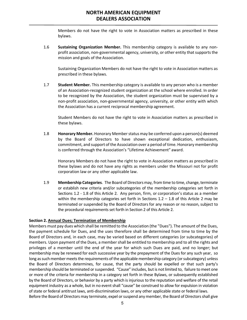Members do not have the right to vote in Association matters as prescribed in these bylaws.

1.6 **Sustaining Organization Member.** This membership category is available to any nonprofit association, non-governmental agency, university, or other entity that supports the mission and goals of the Association.

Sustaining Organization Members do not have the right to vote in Association matters as prescribed in these bylaws.

1.7 **Student Member.** This membership category is available to any person who is a member of an Association-recognized student organization at the school where enrolled. In order to be recognized by the Association, the student organization must be supervised by a non-profit association, non-governmental agency, university, or other entity with which the Association has a current reciprocal membership agreement.

Student Members do not have the right to vote in Association matters as prescribed in these bylaws.

1.8 **Honorary Member.** Honorary Memberstatus may be conferred upon a person(s) deemed by the Board of Directors to have shown exceptional dedication, enthusiasm, commitment, and support of the Association over a period of time. Honorary membership is conferred through the Association's "Lifetime Achievement" award.

Honorary Members do not have the right to vote in Association matters as prescribed in these bylaws and do not have any rights as members under the Missouri not for profit corporation law or any other applicable law.

1.9 **Membership Categories**. The Board of Directors may, from time to time, change, terminate or establish new criteria and/or subcategories of the membership categories set forth in Sections 1.2 - 1.8 of this Article 2. Any person, firm, or corporation's status as a member within the membership categories set forth in Sections  $1.2 - 1.8$  of this Article 2 may be terminated or suspended by the Board of Directors for any reason or no reason, subject to the procedural requirements set forth in Section 2 of this Article 2.

#### **Section 2. Annual Dues; Termination of Membership**

Members must pay dues which shall be remitted to the Association (the "Dues"). The amount of the Dues, the payment schedule for Dues, and the uses therefore shall be determined from time to time by the Board of Directors and, in each case, may be varied based on different categories (or subcategories) of members. Upon payment of the Dues, a membershall be entitled to membership and to all the rights and privileges of a member until the end of the year for which such Dues are paid, and no longer; but membership may be renewed for each successive year by the prepayment of the Dues for any such year, so long as such member meets the requirements of the applicable membership category (or subcategory) unless the Board of Directors determines, for cause, that the party should be expelled or that such party's membership should be terminated or suspended. "Cause" includes, but is not limited to, failure to meet one or more of the criteria for membership in a category set forth in these Bylaws, or subsequently established by the Board of Directors, or behavior by a party which is injurious to the reputation and welfare of the retail equipment industry as a whole, but in no event shall "cause" be construed to allow for expulsion in violation of state or federal antitrust laws, anti-discrimination laws, or any other applicable state or federal laws. Before the Board of Directors may terminate, expel or suspend any member, the Board of Directors shall give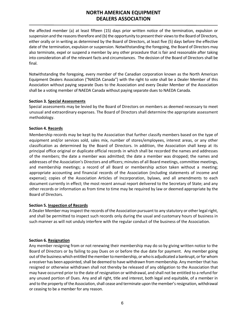the affected member (a) at least fifteen (15) days prior written notice of the termination, expulsion or suspension and the reasons therefore and (b) the opportunity to present their views to the Board of Directors, either orally or in writing as determined by the Board of Directors, at least five (5) days before the effective date of the termination, expulsion or suspension. Notwithstanding the foregoing, the Board of Directors may also terminate, expel or suspend a member by any other procedure that is fair and reasonable after taking into consideration all of the relevant facts and circumstances. The decision of the Board of Directors shall be final.

Notwithstanding the foregoing, every member of the Canadian corporation known as the North American Equipment Dealers Association ("NAEDA Canada") with the right to vote shall be a Dealer Member of this Association without paying separate Dues to the Association and every Dealer Member of the Association shall be a voting member of NAEDA Canada without paying separate dues to NAEDA Canada.

#### **Section 3. Special Assessments**

Special assessments may be levied by the Board of Directors on members as deemed necessary to meet unusual and extraordinary expenses. The Board of Directors shall determine the appropriate assessment methodology.

#### **Section 4. Records**

Membership records may be kept by the Association that further classify members based on the type of equipment and/or services sold, sales mix, number of stores/employees, interest areas, or any other classification as determined by the Board of Directors. In addition, the Association shall keep at its principal office original or duplicate official records in which shall be recorded the names and addresses of the members; the date a member was admitted; the date a member was dropped; the names and addresses of the Association's Directors and officers; minutes of all Board meetings, committee meetings, and membership meetings; a record of all Board or membership action taken without a meeting; appropriate accounting and financial records of the Association (including statements of income and expense); copies of the Association Articles of Incorporation, bylaws, and all amendments to each document currently in effect; the most recent annual report delivered to the Secretary of State; and any other records or information as from time to time may be required by law or deemed appropriate by the Board of Directors.

#### **Section 5. Inspection of Records**

A Dealer Member may inspect the records of the Association pursuant to any statutory or other legal right, and shall be permitted to inspect such records only during the usual and customary hours of business in such manner as will not unduly interfere with the regular conduct of the business of the Association.

#### **Section 6. Resignation**

Any member resigning from or not renewing their membership may do so by giving written notice to the Board of Directors or by failing to pay Dues on or before the due date for payment. Any member going out of the business which entitled the member to membership, or who is adjudicated a bankrupt, or for whom a receiver has been appointed, shall be deemed to have withdrawn from membership. Any member that has resigned or otherwise withdrawn shall not thereby be released of any obligation to the Association that may have occurred prior to the date of resignation or withdrawal, and shall not be entitled to a refund for any unused portion of Dues. Any and all right, title and interest, both legal and equitable, of a member in and to the property of the Association, shall cease and terminate upon the member's resignation, withdrawal or ceasing to be a member for any reason.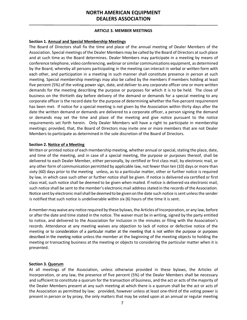#### **ARTICLE 3. MEMBER MEETINGS**

#### <span id="page-6-0"></span>**Section 1. Annual and Special Membership Meetings**

The Board of Directors shall fix the time and place of the annual meeting of Dealer Members of the Association. Special meetings of the Dealer Members may be called by the Board of Directors at such place and at such time as the Board determines. Dealer Members may participate in a meeting by means of conference telephone, video conferencing, webinar or similar communications equipment, as determined by the Board, whereby all persons participating in the meeting can interact in verbal or written form with each other, and participation in a meeting in such manner shall constitute presence in person at such meeting. Special membership meetings may also be called by the members if members holding at least five percent (5%) of the voting power sign, date, and deliver to any corporate officer one or more written demands for the meeting describing the purpose or purposes for which it is to be held. The close of business on the thirtieth day before delivery of the demand or demands for a special meeting to any corporate officer is the record date for the purpose of determining whether the five-percent requirement has been met. If notice for a special meeting is not given by the Association within thirty days after the date the written demand or demands are delivered to a corporate officer, a person signing the demand or demands may set the time and place of the meeting and give notice pursuant to the notice requirements set forth herein. Only Dealer Members will have a right to participate in membership meetings; provided, that, the Board of Directors may invite one or more members that are not Dealer Members to participate as determined in the sole discretion of the Board of Directors.

#### **Section 2. Notice of a Meeting**

Written or printed notice of each membership meeting, whether annual or special, stating the place, date, and time of the meeting, and in case of a special meeting, the purpose or purposes thereof, shall be delivered to each Dealer Member, either personally, by certified or first class mail, by electronic mail, or any other form of communication permitted by applicable law, not fewer than ten (10) days or more than sixty (60) days prior to the meeting unless, as to a particular matter, other or further notice is required by law, in which case such other or further notice shall be given. If notice is delivered via certified or first class mail, such notice shall be deemed to be given when mailed. If notice is delivered via electronic mail, such notice shall be sent to the member's electronic mail address stated in the records of the Association. Notice sent by electronic mail shall be deemed to be given on the date such notice is sent unless the sender is notified that such notice is undeliverable within six (6) hours of the time it is sent.

A member may waive any notice required by these bylaws, the Articles of Incorporation, or any law, before or afterthe date and time stated in the notice. The waiver must be in writing, signed by the party entitled to notice, and delivered to the Association for inclusion in the minutes or filing with the Association's records. Attendance at any meeting waives any objection to lack of notice or defective notice of the meeting or to consideration of a particular matter at the meeting that is not within the purpose or purposes described in the meeting notice unless the member at the beginning of the meeting objects to holding the meeting or transacting business at the meeting or objects to considering the particular matter when it is presented.

#### **Section 3. Quorum**

At all meetings of the Association, unless otherwise provided in these bylaws, the Articles of Incorporation, or any law, the presence of five percent (5%) of the Dealer Members shall be necessary and sufficient to constitute a quorum for the transaction of business, and the act or acts of the majority of the Dealer Members present at any such meeting at which there is a quorum shall be the act or acts of the Association as permitted by law; provided, however unless at least one-third of the voting power is present in person or by proxy, the only matters that may be voted upon at an annual or regular meeting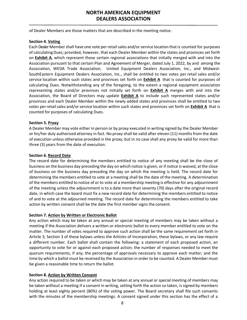of Dealer Members are those matters that are described in the meeting notice.

#### **Section 4. Voting**

Each Dealer Membershall have one vote perretailsales and/orservice location thatis counted for purposes of calculatingDues; provided, however, that each Dealer Member within the states and provinces set forth on **Exhibit A**, which represent those certain regional associations that initially merged with and into the Association pursuant to that certain Plan and Agreement of Merger, dated July 1, 2022, by and among the Association, WEDA Trade Association, United Equipment Dealers Association, Inc., and Midwest-SouthEastern Equipment Dealers Association, Inc., shall be entitled to two votes per retail sales and/or service location within such states and provinces set forth on **Exhibit A** that is counted for purposes of calculating Dues. Notwithstanding any of the foregoing, to the extent a regional equipment association representing states and/or provinces not initially set forth on **Exhibit A** merges with and into the Association, the Board of Directors may update **Exhibit A** to include such represented states and/or provinces and each Dealer Member within the newly added states and provinces shall be entitled to two votes per retail sales and/or service location within such states and provinces set forth on **Exhibit A** that is counted for purposes of calculating Dues.

#### **Section 5. Proxy**

A Dealer Member may vote either in person or by proxy executed in writing signed by the Dealer Member or his/her duly authorized attorney in fact. No proxy shall be valid after eleven (11) months from the date of execution unless otherwise provided in the proxy, but in no case shall any proxy be valid for more than three (3) years from the date of execution.

#### **Section 6. Record Date**

The record date for determining the members entitled to notice of any meeting shall be the close of business on the business day preceding the day on which notice is given, orif notice is waived, atthe close of business on the business day preceding the day on which the meeting is held. The record date for determining the members entitled to vote at a meeting shall be the date of the meeting. A determination of the members entitled to notice of or to vote at a membership meeting is effective for any adjournment of the meeting unless the adjournment is to a date more than seventy (70) days after the original record date, in which case the board must fix a new record date for determining the members entitled to notice of and to vote at the adjourned meeting. The record date for determining the members entitled to take action by written consent shall be the date the first member signs the consent.

#### **Section 7. Action by Written or Electronic Ballot**

Any action which may be taken at any annual or special meeting of members may be taken without a meeting if the Association delivers a written or electronic ballot to every member entitled to vote on the matter. The number of votes required to approve such action shall be the same requirement set forth in Article 3, Section 3 of these bylaws unless the Articles of Incorporation, these bylaws, or any law require a different number. Each ballot shall contain the following: a statement of each proposed action; an opportunity to vote for or against each proposed action; the number of responses needed to meet the quorum requirements, if any; the percentage of approvals necessary to approve each matter; and the time by which a ballot must be received by the Association in order to be counted. A Dealer Member must be given a reasonable time to return the ballot.

#### **Section 8. Action by Written Consent**

Any action required to be taken or which may be taken at any annual or special meeting of members may be taken without a meeting if a consent in writing, setting forth the action so taken, is signed by members holding at least eighty percent (80%) of the voting power. The Board secretary shall file such consents with the minutes of the membership meetings. A consent signed under this section has the effect of a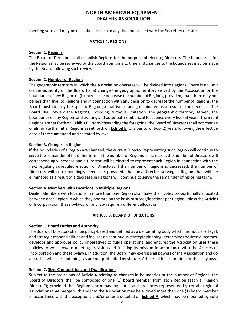<span id="page-8-0"></span>meeting vote and may be described as such in any document filed with the Secretary of State.

#### **ARTICLE 4. REGIONS**

#### **Section 1. Regions**

The Board of Directors shall establish Regions for the purpose of electing Directors. The boundaries for the Regions may be reviewed by the Board from time to time and changes to the boundaries may be made by the Board following such review.

#### **Section 2. Number of Regions**

The geographic territory in which the Association operates will be divided into Regions. There is no limit on the authority of the Board to (a) change the geographic territory served by the Association or the boundaries of any Region or(b) increase or decrease the number of Regions; provided, that, there may not be less than five (5) Regions and in connection with any decision to decrease the number of Regions, the Board must identify the specific Region(s) that is/are being eliminated as a result of the decrease. The Board shall review the Regions, including, without limitation, the geographic territory served, the boundaries of any Region, and existing and potential members, at least once every five (5) years. The initial Regions are set forth on **Exhibit B**. Notwithstanding the foregoing, the Board of Directors shall not change or eliminate the initial Regions as set forth on **Exhibit B** for a period of two (2) years following the effective date of these amended and restated bylaws.

#### **Section 3. Changes in Regions**

If the boundaries of a Region are changed, the current Director representing such Region will continue to serve the remainder of his or her term. If the number of Regions is increased, the number of Directors will correspondingly increase and a Director will be elected to represent such Region in connection with the next regularly scheduled election of Directors. If the number of Regions is decreased, the number of Directors will correspondingly decrease; provided, that any Director serving a Region that will be eliminated as a result of a decrease in Regions will continue to serve the remainder of his or herterm.

#### **Section 4. Members with Locations in Multiple Regions**

Dealer Members with locations in more than one Region shall have their votes proportionally allocated between each Region in which they operate on the basis of stores/locations per Region unless the Articles of Incorporation, these bylaws, or any law require a different allocation.

#### **ARTICLE 5. BOARD OF DIRECTORS**

#### <span id="page-8-1"></span>**Section 1. Board Duties and Authority**

The Board of Directors shall be policy-based and defined as a deliberating body which has fiduciary, legal, and strategic responsibilities and focuses on continuousstrategic planning, determines desired outcomes, develops and approves policy imperatives to guide operations, and ensures the Association uses these policies to work toward meeting its vision and fulfilling its mission in accordance with the Articles of Incorporation and these bylaws. In addition, the Board may exercise all powers of the Association and do all such lawful acts and things as are not prohibited by statute, Articles of Incorporation, or these bylaws.

#### **Section 2. Size, Composition, and Qualifications**

Subject to the provisions of Article 4 relating to changes in boundaries or the number of Regions, the Board of Directors shall be composed of one (1) board member from each Region (each a "Region Director"); provided that Regions encompassing states and provinces represented by certain regional associations that merge with and into the Association may be allowed more than one (1) board member in accordance with the exceptions and/or criteria detailed on **Exhibit A,** which may be modified by vote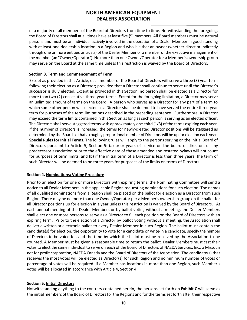of a majority of all members of the Board of Directors from time to time. Notwithstanding the foregoing, the Board of Directors shall at all times have at least five (5) members. All Board members must be natural persons and must be an individual actively involved in the operation of a Dealer Member in good standing with at least one dealership location in a Region and who is either an owner (whether direct or indirectly through one or more entities or trusts) of the Dealer Member or a member of the executive management of the member (an "Owner/Operator"). No more than one Owner/Operator for a Member's ownership group may serve on the Board at the same time unless this restriction is waived by the Board of Directors.

#### **Section 3. Term and Commencement of Term**

Except as provided in this Article, each member of the Board of Directors will serve a three (3) year term following their election as a Director; provided that a Director shall continue to serve until the Director's successor is duly elected. Except as provided in this Section, no person shall be elected as a Director for more than two (2) consecutive three-year terms. Except for the foregoing limitation, a Director may serve an unlimited amount of terms on the Board. A person who serves as a Director for any part of a term to which some other person was elected as a Director shall be deemed to have served the entire three-year term for purposes of the term limitations described in the preceding sentence. Furthermore, a Director may exceed the term limits contained in this Section aslong assuch person isserving as an elected officer. The Directors shall serve staggered terms with approximately one-third (1/3) of the terms expiring each year. If the number of Directors is increased, the terms for newly-created Director positions will be staggered as determined by the Board so that a roughly proportional number of Directors will be up for election each year. **Special Rules for Initial Terms.** The following rules will apply to the persons serving on the initial Board of Directors pursuant to Article 5, Section 5: (a) prior years of service on the board of directors of any predecessor association prior to the effective date of these amended and restated bylaws will not count for purposes of term limits; and (b) if the initial term of a Director is less than three years, the term of such Director will be deemed to be three years for purposes of the limits on terms of Directors..

#### **Section 4. Nominations; Voting Procedure**

Prior to an election for one or more Directors with expiring terms, the Nominating Committee will send a notice to all Dealer Members in the applicable Region requesting nominations for such election. The names of all qualified nominations from a Region shall be placed on the ballot for election as a Director from such Region. There may be no more than one Owner/Operator per a Member's ownership group on the ballot for all Director positions up for election in a year unless this restriction is waived by the Board ofDirectors. At each annual meeting of the Dealer Members or by ballot voting without a meeting, the Dealer Members shall elect one or more persons to serve as a Director to fill each position on the Board of Directors with an expiring term. Prior to the election of a Director by ballot voting without a meeting, the Association shall deliver a written or electronic ballot to every Dealer Member in such Region. The ballot must contain the candidate(s) for election, the opportunity to vote for a candidate or write-in a candidate, specify the number of Directors to be voted for, and the time by which the ballot must be received by the Association to be counted. A Member must be given a reasonable time to return the ballot. Dealer Members must cast their votes to elect the same individual to serve on each of the Board of Directors of NAEDA Services, Inc., a Missouri not for profit corporation, NAEDA Canada and the Board of Directors of the Association. The candidate(s) that receives the most votes will be elected as Director(s) for such Region and no minimum number of votes or percentage of votes will be required. If a Member has locations in more than one Region, such Member's votes will be allocated in accordance with Article 4, Section 4.

#### **Section 5. Initial Directors**

Notwithstanding anything to the contrary contained herein, the persons set forth on **Exhibit C** will serve as the initial members of the Board of Directors for the Regions and for the terms set forth after their respective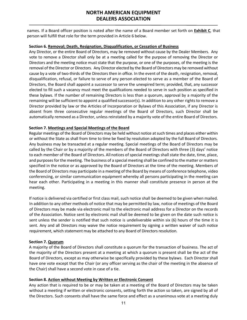names. If a Board officer position is noted after the name of a Board member set forth on **Exhibit C**, that person will fulfill that role for the term provided in Article 6 below.

#### **Section 6. Removal; Death, Resignation, Disqualification, or Cessation of Business**

Any Director, or the entire Board of Directors, may be removed without cause by the Dealer Members. Any vote to remove a Director shall only be at a meeting called for the purpose of removing the Director or Directors and the meeting notice must state that the purpose, or one of the purposes, of the meeting is the removal of the Director or Directors. Any Director elected by the Board of Directors may be removed without cause by a vote of two-thirds of the Directors then in office. In the event of the death, resignation, removal, disqualification, refusal, or failure to serve of any person elected to serve as a member of the Board of Directors, the Board shall appoint a successor to serve the unexpired term; provided, that, any successor elected to fill such a vacancy must meet the qualifications needed to serve in such position as specified in these bylaws. If the number of remaining Directors is less than a quorum, approval by a majority of the remaining will be sufficient to appoint a qualified successor(s)*.* In addition to any other rights to remove a Director provided by law or the Articles of Incorporation or Bylaws of this Association, if any Director is absent from three consecutive regular meetings of the Board of Directors, such Director shall be automatically removed as a Director, unless reinstated by a majority vote of the entire Board of Directors.

#### **Section 7. Meetings and Special Meetings of the Board**

Regular meetings of the Board of Directors may be held without notice at such times and places either within or without the State as shall from time to time be fixed by resolution adopted by the full Board of Directors. Any business may be transacted at a regular meeting. Special meetings of the Board of Directors may be called by the Chair or by a majority of the members of the Board of Directors with three (3) days' notice to each member of the Board of Directors. All notices of special meetings shall state the date, time, place, and purposes for the meeting. The business of a special meeting shall be confined to the matter or matters specified in the notice or as approved by the Board of Directors at the time of the meeting. Members of the Board of Directors may participate in a meeting of the Board by means of conference telephone, video conferencing, or similar communication equipment whereby all persons participating in the meeting can hear each other. Participating in a meeting in this manner shall constitute presence in person at the meeting.

If notice is delivered via certified or first class mail, such notice shall be deemed to be given when mailed. In addition to any other methods of notice that may be permitted by law, notice of meetings of the Board of Directors may be made via electronic mail to the electronic mail address for a Director on the records of the Association. Notice sent by electronic mail shall be deemed to be given on the date such notice is sent unless the sender is notified that such notice is undeliverable within six (6) hours of the time it is sent. Any and all Directors may waive the notice requirement by signing a written waiver of such notice requirement, which statement may be attached to any Board of Directors resolution.

#### **Section 7. Quorum**

A majority of the Board of Directors shall constitute a quorum for the transaction of business. The act of the majority of the Directors present at a meeting at which a quorum is present shall be the act of the Board of Directors, except as may otherwise be specifically provided by these bylaws. Each Director shall have one vote except that the Chair (or any officer serving as the chair of the meeting in the absence of the Chair) shall have a second vote in case of a tie.

#### **Section 8. Action without Meeting by Written or Electronic Consent**

Any action that is required to be or may be taken at a meeting of the Board of Directors may be taken without a meeting if written or electronic consents, setting forth the action so taken, are signed by all of the Directors. Such consents shall have the same force and effect as a unanimous vote at a meeting duly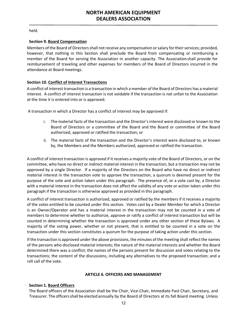held.

#### **Section 9. Board Compensation**

Members of the Board of Directors shall not receive any compensation or salary for their services; provided, however, that nothing in this Section shall preclude the Board from compensating or reimbursing a member of the Board for serving the Association in another capacity. The Associationshall provide for reimbursement of traveling and other expenses for members of the Board of Directors incurred in the attendance at Board meetings.

#### **Section 10. Conflict of Interest Transactions**

A conflict of interest transaction is a transaction in which a member of the Board of Directors has a material interest. A conflict of interest transaction is not voidable if the transaction is not unfair to the Association at the time it is entered into or is approved.

A transaction in which a Director has a conflict of interest may be approved if:

- i. The material facts of the transaction and the Director's interest were disclosed or known to the Board of Directors or a committee of the Board and the Board or committee of the Board authorized, approved or ratified the transaction; or
- ii. The material facts of the transaction and the Director's interest were disclosed to, or known by, the Members and the Members authorized, approved or ratified the transaction.

A conflict of interest transaction is approved if it receives a majority vote of the Board of Directors, or on the committee, who have no direct or indirect material interest in the transaction, but a transaction may not be approved by a single Director. If a majority of the Directors on the Board who have no direct or indirect material interest in the transaction vote to approve the transaction, a quorum is deemed present for the purpose of the vote and action taken under this paragraph. The presence of, or a vote cast by, a Director with a material interest in the transaction does not affect the validity of any vote or action taken under this paragraph if the transaction is otherwise approved as provided in this paragraph.

A conflict of interest transaction is authorized, approved or ratified by the members if it receives a majority of the votes entitled to be counted under this section. Votes cast by a Dealer Member for which a Director is an Owner/Operator and has a material interest in the transaction may not be counted in a vote of members to determine whether to authorize, approve or ratify a conflict of interest transaction but will be counted in determining whether the transaction is approved under any other section of these Bylaws. A majority of the voting power, whether or not present, that is entitled to be counted in a vote on the transaction under this section constitutes a quorum for the purpose of taking action under this section.

If the transaction is approved under the above provisions, the minutes of the meeting shall reflect the names of the persons who disclosed material interests; the nature of the material interests and whether the Board determined there was a conflict; the names of the persons present for discussion and votes relating to the transactions; the content of the discussions, including any alternatives to the proposed transaction; and a roll call of the vote.

#### **ARTICLE 6. OFFICERS AND MANAGEMENT**

#### <span id="page-11-0"></span>**Section 1. Board Officers**

The Board officers of the Association shall be the Chair, Vice-Chair, Immediate Past Chair, Secretary, and Treasurer. The officersshall be elected annually by the Board of Directors at its fall Board meeting. Unless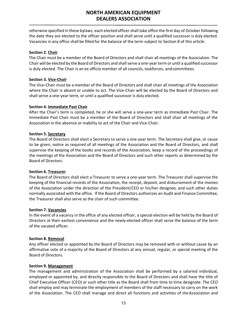otherwise specified in these bylaws, each elected officer shall take office the first day of October following the date they are elected to the officer position and shall serve until a qualified successor is duly elected. Vacancies in any office shall be filled for the balance of the term subject to Section 8 of this article.

#### **Section 2. Chair**

The Chair must be a member of the Board of Directors and shall chair all meetings of the Association. The Chair will be elected by the Board of Directors and shall serve a one-year term or until a qualified successor is duly elected. The Chair is an ex officio member of all councils, taskforces, and committees.

#### **Section 3. Vice-Chair**

The Vice-Chair must be a member of the Board of Directors and shall chair all meetings of the Association where the Chair is absent or unable to act. The Vice-Chair will be elected by the Board of Directors and shall serve a one-year term, or until a qualified successor is duly elected.

#### **Section 4. Immediate Past Chair**

After the Chair's term is completed, he or she will serve a one-year term as Immediate Past Chair. The Immediate Past Chair must be a member of the Board of Directors and shall chair all meetings of the Association in the absence or inability to act of the Chair and Vice-Chair.

#### **Section 5. Secretary**

The Board of Directors shall elect a Secretary to serve a one-year term. The Secretary shall give, or cause to be given, notice as required of all meetings of the Association and the Board of Directors, and shall supervise the keeping of the books and records of the Association, keep a record of the proceedings of the meetings of the Association and the Board of Directors and such other reports as determined by the Board of Directors.

#### **Section 6. Treasurer**

The Board of Directors shall elect a Treasurer to serve a one-year term. The Treasurer shall supervise the keeping of the financial records of the Association, the receipt, deposit, and disbursement of the monies of the Association under the direction of the President/CEO or his/her designee, and such other duties normally associated with the office. If the Board of Directors authorizes an Audit and Finance Committee, the Treasurer shall also serve as the chair of such committee.

#### **Section 7. Vacancies**

In the event of a vacancy in the office of any elected officer, a special election will be held by the Board of Directors at their earliest convenience and the newly-elected officer shall serve the balance of the term of the vacated officer.

#### **Section 8. Removal**

Any officer elected or appointed by the Board of Directors may be removed with or without cause by an affirmative vote of a majority of the Board of Directors at any annual, regular, or special meeting of the Board of Directors.

#### **Section 9. Management**

The management and administration of the Association shall be performed by a salaried individual, employed or appointed by, and directly responsible to the Board of Directors and shall have the title of Chief Executive Officer (CEO) or such other title as the Board shall from time to time designate. The CEO shall employ and may terminate the employment of members of the staff necessary to carry on the work of the Association. The CEO shall manage and direct all functions and activities of the Association and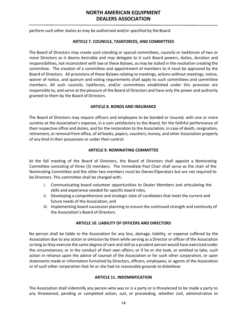<span id="page-13-0"></span>perform such other duties as may be authorized and/or specified by the Board.

#### **ARTICLE 7. COUNCILS, TASKFORCES, AND COMMITTEES**

The Board of Directors may create such standing or special committees, councils or taskforces of two or more Directors as it deems desirable and may delegate to it such Board powers, duties, duration and responsibilities, not inconsistent with law or these Bylaws, as may be stated in the resolution creating the committee. The creation of a committee and appointment of members to it must be approved by the Board of Directors. All provisions of these Bylaws relating to meetings, actions without meetings, notice, waiver of notice, and quorum and voting requirements shall apply to such committees and committee members. All such councils, taskforces, and/or committees established under this provision are responsible to, and serve at the pleasure of the Board of Directors and have only the power and authority granted to them by the Board of Directors.

#### **ARTICLE 8. BONDS AND INSURANCE**

<span id="page-13-1"></span>The Board of Directors may require officers and employees to be bonded or insured, with one or more sureties at the Association's expense, in a sum satisfactory to the Board, for the faithful performance of their respective office and duties, and for the restoration to the Association, in case of death, resignation, retirement, or removal from office, of all books, papers, vouchers, money, and other Association property of any kind in their possession or under their control.

#### **ARTICLE 9. NOMINATING COMMITTEE**

<span id="page-13-2"></span>At the fall meeting of the Board of Directors, the Board of Directors shall appoint a Nominating Committee consisting of three (3) members. The Immediate Past Chair shall serve as the chair of the Nominating Committee and the other two members must be Owner/Operators but are not required to be Directors. This committee shall be charged with:

- i. Communicating board volunteer opportunities to Dealer Members and articulating the skills and experience needed for specific board roles,
- ii. Developing a comprehensive and strategic slate of candidates that meet the current and future needs of the Association, and
- iii. Implementing board succession planning to ensure the continued strength and continuity of the Association's Board of Directors.

#### **ARTICLE 10. LIABILITY OF OFFICERS AND DIRECTORS**

<span id="page-13-3"></span>No person shall be liable to the Association for any loss, damage, liability, or expense suffered by the Association due to any action or omission by them while serving as a Director or officer of the Association so long asthey exercise the same degree of care and skill as a prudent person would have exercised under the circumstances; or in the conduct of their own affairs; or if he or she took, or omitted to take, such action in reliance upon the advice of counsel of the Association or for such other corporation, or upon statements made or information furnished by Directors, officers, employees, or agents of the Association or of such other corporation that he or she had no reasonable grounds to disbelieve.

#### **ARTICLE 11. INDEMNIFICATION**

<span id="page-13-4"></span>The Association shall indemnify any person who was or is a party or is threatened to be made a party to any threatened, pending or completed action, suit, or proceeding, whether civil, administrative or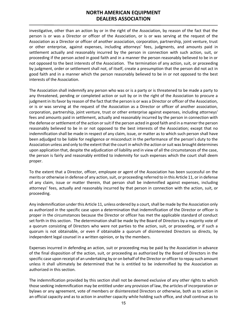investigative, other than an action by or in the right of the Association, by reason of the fact that the person is or was a Director or officer of the Association, or is or was serving at the request of the Association as a Director or officer of another association, corporation, partnership, joint venture, trust or other enterprise, against expenses, including attorneys' fees, judgments, and amounts paid in settlement actually and reasonably incurred by the person in connection with such action, suit, or proceeding if the person acted in good faith and in a manner the person reasonably believed to be in or not opposed to the best interests of the Association. The termination of any action, suit, or proceeding by judgment, order or settlement shall not, of itself, create a presumption that the person did not act in good faith and in a manner which the person reasonably believed to be in or not opposed to the best interests of the Association.

The Association shall indemnify any person who was or is a party or is threatened to be made a party to any threatened, pending or completed action or suit by or in the right of the Association to procure a judgment in its favor by reason of the fact that the person is or was a Director or officer of the Association, or is or was serving at the request of the Association as a Director or officer of another association, corporation, partnership, joint venture, trust or other enterprise against expenses, including attorneys' fees and amounts paid in settlement, actually and reasonably incurred by the person in connection with the defense or settlement of the action or suit if the person acted in good faith and in a manner the person reasonably believed to be in or not opposed to the best interests of the Association; except that no indemnification shall be made in respect of any claim, issue, or matter as to which such person shall have been adjudged to be liable for negligence or misconduct in the performance of the person's duty to the Association unless and only to the extent that the court in which the action or suit was brought determines upon application that, despite the adjudication of liability and in view of all the circumstances of the case, the person is fairly and reasonably entitled to indemnity for such expenses which the court shall deem proper.

To the extent that a Director, officer, employee or agent of the Association has been successful on the merits or otherwise in defense of any action, suit, or proceeding referred to in this Article 11, or in defense of any claim, issue or matter therein, that person shall be indemnified against expenses, including attorneys' fees, actually and reasonably incurred by that person in connection with the action, suit, or proceeding.

Any indemnification under this Article 11, unless ordered by a court, shall be made by the Association only as authorized in the specific case upon a determination that indemnification of the Director or officer is proper in the circumstances because the Director or officer has met the applicable standard of conduct set forth in this section. The determination shall be made by the Board of Directors by a majority vote of a quorum consisting of Directors who were not parties to the action, suit, or proceeding, or if such a quorum is not obtainable, or even if obtainable a quorum of disinterested Directors so directs, by independent legal counsel in a written opinion, or by the members.

Expenses incurred in defending an action, suit or proceeding may be paid by the Association in advance of the final disposition of the action, suit, or proceeding as authorized by the Board of Directors in the specific case upon receipt of an undertaking by or on behalf of the Director or officer to repay such amount unless it shall ultimately be determined that he is entitled to be indemnified by the Association as authorized in this section.

The indemnification provided by this section shall not be deemed exclusive of any other rights to which those seeking indemnification may be entitled under any provision of law, the articles of incorporation or bylaws or any agreement, vote of members or disinterested Directors or otherwise, both as to action in an official capacity and as to action in another capacity while holding such office, and shall continue as to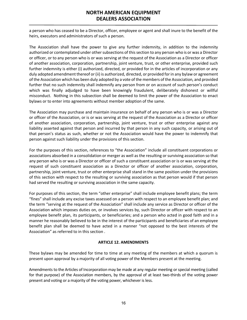a person who has ceased to be a Director, officer, employee or agent and shall inure to the benefit of the heirs, executors and administrators of such a person.

The Association shall have the power to give any further indemnity, in addition to the indemnity authorized or contemplated under other subsections of this section to any person who is or was a Director or officer, or to any person who is or was serving at the request of the Association as a Director or officer of another association, corporation, partnership, joint venture, trust, or other enterprise, provided such further indemnity is either (i) authorized, directed, or provided for in the articles of incorporation or any duly adopted amendment thereof or (ii) is authorized, directed, or provided for in any bylaw or agreement of the Association which has been duly adopted by a vote of the members of the Association, and provided further that no such indemnity shall indemnify any person from or on account of such person's conduct which was finally adjudged to have been knowingly fraudulent, deliberately dishonest or willful misconduct. Nothing in this subsection shall be deemed to limit the power of the Association to enact bylaws or to enter into agreements without member adoption of the same.

The Association may purchase and maintain insurance on behalf of any person who is or was a Director or officer of the Association, or is or was serving at the request of the Association as a Director or officer of another association, corporation, partnership, joint venture, trust or other enterprise against any liability asserted against that person and incurred by that person in any such capacity, or arising out of that person's status as such, whether or not the Association would have the power to indemnify that person against such liability under the provisions of this section.

For the purposes of this section, references to "the Association" include all constituent corporations or associations absorbed in a consolidation or merger as well as the resulting or surviving association so that any person who is or was a Director or officer of such a constituent association or is or was serving at the request of such constituent association as a Director or officer of another association, corporation, partnership, joint venture, trust or other enterprise shall stand in the same position under the provisions of this section with respect to the resulting or surviving association as that person would if that person had served the resulting or surviving association in the same capacity.

For purposes of this section, the term "other enterprise" shall include employee benefit plans; the term "fines" shall include any excise taxes assessed on a person with respect to an employee benefit plan; and the term "serving at the request of the Association" shall include any service as Director or officer of the Association which imposes duties on, or involves services by, such Director or officer with respect to an employee benefit plan, its participants, or beneficiaries; and a person who acted in good faith and in a manner he reasonably believed to be in the interest of the participants and beneficiaries of an employee benefit plan shall be deemed to have acted in a manner "not opposed to the best interests of the Association" as referred to in this section .

#### **ARTICLE 12. AMENDMENTS**

<span id="page-15-0"></span>These bylaws may be amended for time to time at any meeting of the members at which a quorum is present upon approval by a majority of all voting power of the Members present at the meeting.

Amendments to the Articles of Incorporation may be made at any regular meeting or special meeting (called for that purpose) of the Association members, by the approval of at least two-thirds of the voting power present and voting or a majority of the voting power, whichever is less.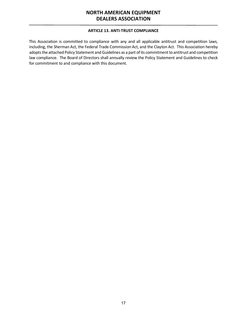#### **ARTICLE 13. ANTI-TRUST COMPLIANCE**

<span id="page-16-0"></span>This Association is committed to compliance with any and all applicable antitrust and competition laws, including, the Sherman Act, the Federal Trade Commission Act, and the Clayton Act. This Association hereby adopts the attached Policy Statement and Guidelines as a part of its commitment to antitrust and competition law compliance. The Board of Directors shall annually review the Policy Statement and Guidelines to check for commitment to and compliance with this document.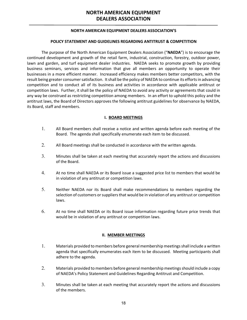#### **NORTH AMERICAN EQUIPMENT DEALERS ASSOCIATION'S**

#### **POLICY STATEMENT AND GUIDELINES REGARDING ANTITRUST & COMPETITION**

The purpose of the North American Equipment Dealers Association ("**NAEDA**") is to encourage the continued development and growth of the retail farm, industrial, construction, forestry, outdoor power, lawn and garden, and turf equipment dealer industries. NAEDA seeks to promote growth by providing business seminars, services and information that give all members an opportunity to operate their businesses in a more efficient manner. Increased efficiency makes members better competitors, with the result being greater consumer satisfaction. It shall be the policy of NAEDA to continue its efforts in advancing competition and to conduct all of its business and activities in accordance with applicable antitrust or competition laws. Further, it shall be the policy of NAEDA to avoid any activity or agreements that could in any way be construed as restricting competition among members. In an effort to uphold this policy and the antitrust laws, the Board of Directors approves the following antitrust guidelines for observance by NAEDA, its Board, staff and members.

#### **I. BOARD MEETINGS**

- 1. All Board members shall receive a notice and written agenda before each meeting of the Board. The agenda shall specifically enumerate each item to be discussed.
- 2. All Board meetings shall be conducted in accordance with the written agenda.
- 3. Minutes shall be taken at each meeting that accurately report the actions and discussions of the Board.
- 4. At no time shall NAEDA or its Board issue a suggested price list to members that would be in violation of any antitrust or competition laws.
- 5. Neither NAEDA nor its Board shall make recommendations to members regarding the selection of customers or suppliers that would be in violation of any antitrust or competition laws.
- 6. At no time shall NAEDA or its Board issue information regarding future price trends that would be in violation of any antitrust or competition laws.

#### **II. MEMBER MEETINGS**

- 1. Materials provided to members before general membership meetings shall include a written agenda that specifically enumerates each item to be discussed. Meeting participants shall adhere to the agenda.
- 2. Materials provided to members before general membership meetings should include a copy of NAEDA's Policy Statement and Guidelines Regarding Antitrust and Competition.
- 3. Minutes shall be taken at each meeting that accurately report the actions and discussions of the members.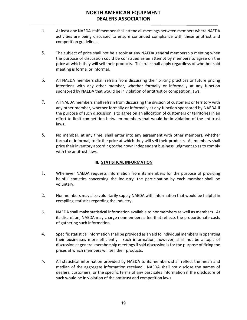- 4. At least one NAEDA staff member shall attend all meetings between members where NAEDA activities are being discussed to ensure continued compliance with these antitrust and competition guidelines.
- 5. The subject of price shall not be a topic at any NAEDA general membership meeting when the purpose of discussion could be construed as an attempt by members to agree on the price at which they will sell their products. This rule shall apply regardless of whether said meeting is formal or informal.
- 6. All NAEDA members shall refrain from discussing their pricing practices or future pricing intentions with any other member, whether formally or informally at any function sponsored by NAEDA that would be in violation of antitrust or competition laws.
- 7. All NAEDA members shall refrain from discussing the division of customers or territory with any other member, whether formally or informally at any function sponsored by NAEDA if the purpose of such discussion is to agree on an allocation of customers or territories in an effort to limit competition between members that would be in violation of the antitrust laws.
- 8. No member, at any time, shall enter into any agreement with other members, whether formal or informal, to fix the price at which they will sell their products. All members shall price their inventory according to their own independent business judgment so as to comply with the antitrust laws.

#### **III. STATISTICAL INFORMATION**

- 1. Whenever NAEDA requests information from its members for the purpose of providing helpful statistics concerning the industry, the participation by each member shall be voluntary.
- 2. Nonmembers may also voluntarily supply NAEDA with information that would be helpful in compiling statistics regarding the industry.
- 3. NAEDA shall make statistical information available to nonmembers as well as members. At its discretion, NAEDA may charge nonmembers a fee that reflects the proportionate costs of gathering such information.
- 4. Specific statistical information shall be provided as an aid to individual members in operating their businesses more efficiently. Such information, however, shall not be a topic of discussion at general membership meetings if said discussion is for the purpose of fixing the prices at which members will sell their products.
- 5. All statistical information provided by NAEDA to its members shall reflect the mean and median of the aggregate information received. NAEDA shall not disclose the names of dealers, customers, or the specific terms of any past sales information if the disclosure of such would be in violation of the antitrust and competition laws.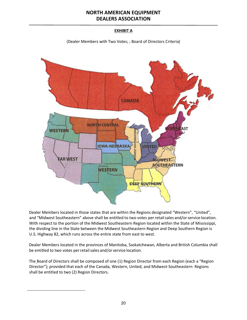### **EXHIBIT A**

(Dealer Members with Two Votes; ; Board of Directors Criteria)



Dealer Members located in those states that are within the Regions designated "Western", "United", and "Midwest Southeastern" above shall be entitled to two votes per retail sales and/or service location. With respect to the portion of the Midwest Southeastern Region located within the State of Mississippi, the dividing line in the State between the Midwest Southeastern Region and Deep Southern Region is U.S. Highway 82, which runs across the entire state from east to west.

Dealer Members located in the provinces of Manitoba, Saskatchewan, Alberta and British Columbia shall be entitled to two votes per retail sales and/or service location.

The Board of Directors shall be composed of one (1) Region Director from each Region (each a "Region Director"); provided that each of the Canada, Western, United, and Midwest-Southeastern Regions shall be entitled to two (2) Region Directors.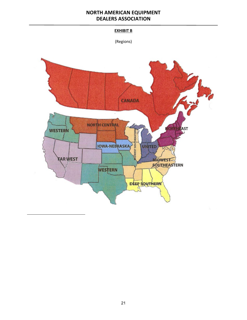#### **EXHIBIT B**

(Regions)